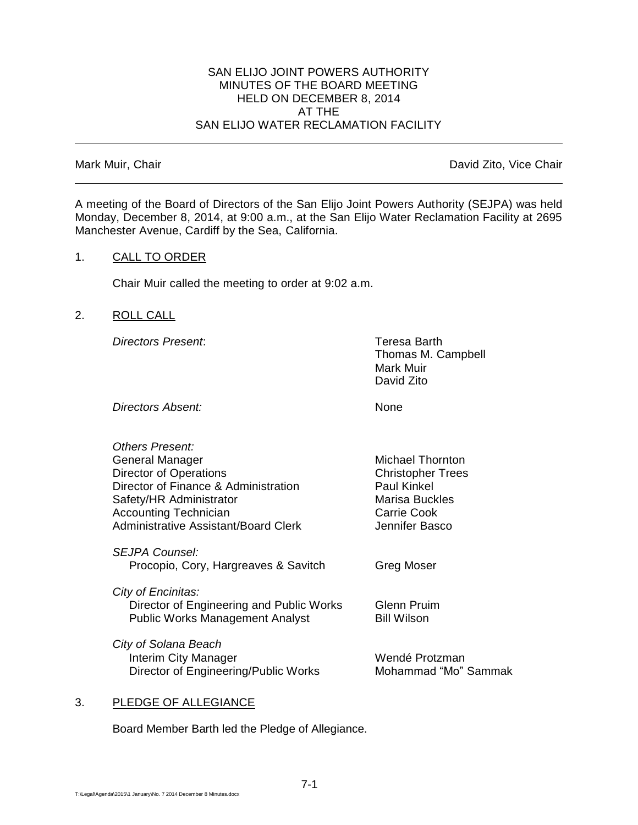#### SAN ELIJO JOINT POWERS AUTHORITY MINUTES OF THE BOARD MEETING HELD ON DECEMBER 8, 2014 AT THE SAN ELIJO WATER RECLAMATION FACILITY

Mark Muir, Chair **David Zito, Vice Chair** David Zito, Vice Chair

A meeting of the Board of Directors of the San Elijo Joint Powers Authority (SEJPA) was held Monday, December 8, 2014, at 9:00 a.m., at the San Elijo Water Reclamation Facility at 2695 Manchester Avenue, Cardiff by the Sea, California.

### 1. CALL TO ORDER

Chair Muir called the meeting to order at 9:02 a.m.

### 2. ROLL CALL

*Directors Present*: Teresa Barth

Thomas M. Campbell Mark Muir David Zito

**Directors Absent:** None

| Others Present:                          |                          |
|------------------------------------------|--------------------------|
| <b>General Manager</b>                   | <b>Michael Thornton</b>  |
| <b>Director of Operations</b>            | <b>Christopher Trees</b> |
| Director of Finance & Administration     | <b>Paul Kinkel</b>       |
| Safety/HR Administrator                  | Marisa Buckles           |
| <b>Accounting Technician</b>             | Carrie Cook              |
| Administrative Assistant/Board Clerk     | Jennifer Basco           |
|                                          |                          |
| <i>SEJPA Counsel:</i>                    |                          |
| Procopio, Cory, Hargreaves & Savitch     | Greg Moser               |
|                                          |                          |
| City of Encinitas:                       |                          |
| Director of Engineering and Public Works | Glenn Pruim              |
| <b>Public Works Management Analyst</b>   | <b>Bill Wilson</b>       |
| City of Solana Beach                     |                          |
| <b>Interim City Manager</b>              | Wendé Protzman           |
| Director of Engineering/Public Works     | Mohammad "Mo" Sammak     |
|                                          |                          |

# 3. PLEDGE OF ALLEGIANCE

Board Member Barth led the Pledge of Allegiance.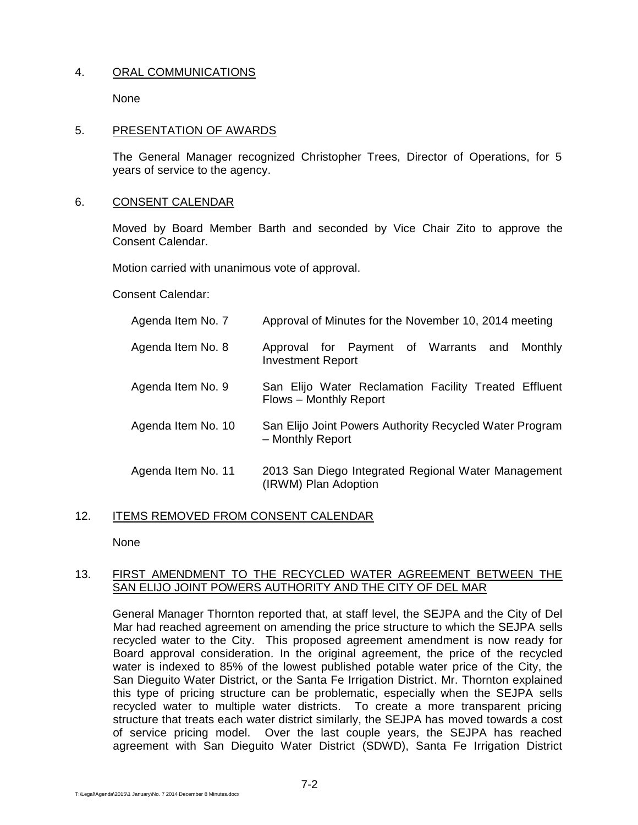# 4. ORAL COMMUNICATIONS

None

#### 5. PRESENTATION OF AWARDS

The General Manager recognized Christopher Trees, Director of Operations, for 5 years of service to the agency.

#### 6. CONSENT CALENDAR

Moved by Board Member Barth and seconded by Vice Chair Zito to approve the Consent Calendar.

Motion carried with unanimous vote of approval.

Consent Calendar:

| Agenda Item No. 7  | Approval of Minutes for the November 10, 2014 meeting                           |
|--------------------|---------------------------------------------------------------------------------|
| Agenda Item No. 8  | Approval for Payment of Warrants and<br>Monthly<br><b>Investment Report</b>     |
| Agenda Item No. 9  | San Elijo Water Reclamation Facility Treated Effluent<br>Flows - Monthly Report |
| Agenda Item No. 10 | San Elijo Joint Powers Authority Recycled Water Program<br>- Monthly Report     |
| Agenda Item No. 11 | 2013 San Diego Integrated Regional Water Management<br>(IRWM) Plan Adoption     |

#### 12. ITEMS REMOVED FROM CONSENT CALENDAR

None

#### 13. FIRST AMENDMENT TO THE RECYCLED WATER AGREEMENT BETWEEN THE SAN ELIJO JOINT POWERS AUTHORITY AND THE CITY OF DEL MAR

General Manager Thornton reported that, at staff level, the SEJPA and the City of Del Mar had reached agreement on amending the price structure to which the SEJPA sells recycled water to the City. This proposed agreement amendment is now ready for Board approval consideration. In the original agreement, the price of the recycled water is indexed to 85% of the lowest published potable water price of the City, the San Dieguito Water District, or the Santa Fe Irrigation District. Mr. Thornton explained this type of pricing structure can be problematic, especially when the SEJPA sells recycled water to multiple water districts. To create a more transparent pricing structure that treats each water district similarly, the SEJPA has moved towards a cost of service pricing model. Over the last couple years, the SEJPA has reached agreement with San Dieguito Water District (SDWD), Santa Fe Irrigation District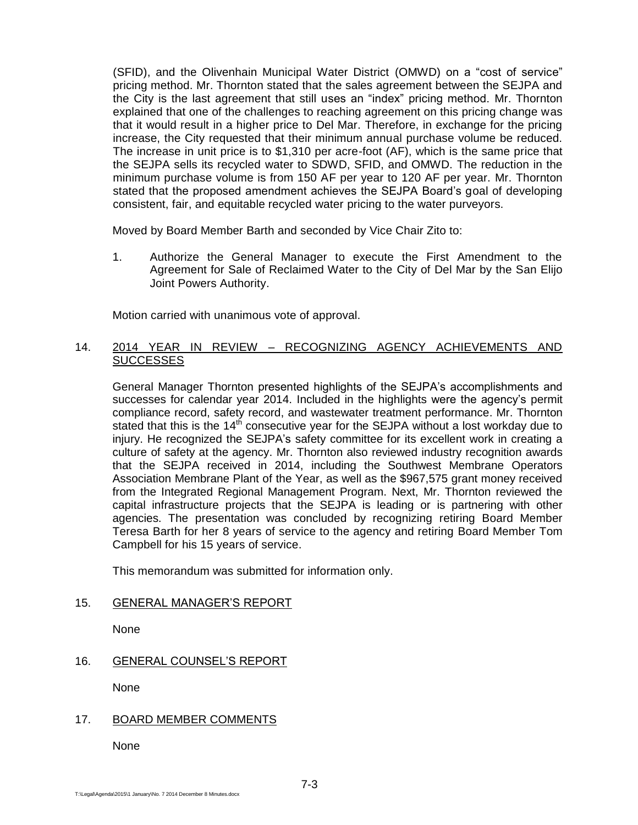(SFID), and the Olivenhain Municipal Water District (OMWD) on a "cost of service" pricing method. Mr. Thornton stated that the sales agreement between the SEJPA and the City is the last agreement that still uses an "index" pricing method. Mr. Thornton explained that one of the challenges to reaching agreement on this pricing change was that it would result in a higher price to Del Mar. Therefore, in exchange for the pricing increase, the City requested that their minimum annual purchase volume be reduced. The increase in unit price is to \$1,310 per acre-foot (AF), which is the same price that the SEJPA sells its recycled water to SDWD, SFID, and OMWD. The reduction in the minimum purchase volume is from 150 AF per year to 120 AF per year. Mr. Thornton stated that the proposed amendment achieves the SEJPA Board's goal of developing consistent, fair, and equitable recycled water pricing to the water purveyors.

Moved by Board Member Barth and seconded by Vice Chair Zito to:

1. Authorize the General Manager to execute the First Amendment to the Agreement for Sale of Reclaimed Water to the City of Del Mar by the San Elijo Joint Powers Authority.

Motion carried with unanimous vote of approval.

### 14. 2014 YEAR IN REVIEW – RECOGNIZING AGENCY ACHIEVEMENTS AND **SUCCESSES**

General Manager Thornton presented highlights of the SEJPA's accomplishments and successes for calendar year 2014. Included in the highlights were the agency's permit compliance record, safety record, and wastewater treatment performance. Mr. Thornton stated that this is the 14<sup>th</sup> consecutive year for the SEJPA without a lost workday due to injury. He recognized the SEJPA's safety committee for its excellent work in creating a culture of safety at the agency. Mr. Thornton also reviewed industry recognition awards that the SEJPA received in 2014, including the Southwest Membrane Operators Association Membrane Plant of the Year, as well as the \$967,575 grant money received from the Integrated Regional Management Program. Next, Mr. Thornton reviewed the capital infrastructure projects that the SEJPA is leading or is partnering with other agencies. The presentation was concluded by recognizing retiring Board Member Teresa Barth for her 8 years of service to the agency and retiring Board Member Tom Campbell for his 15 years of service.

This memorandum was submitted for information only.

# 15. GENERAL MANAGER'S REPORT

None

# 16. GENERAL COUNSEL'S REPORT

None

# 17. BOARD MEMBER COMMENTS

None